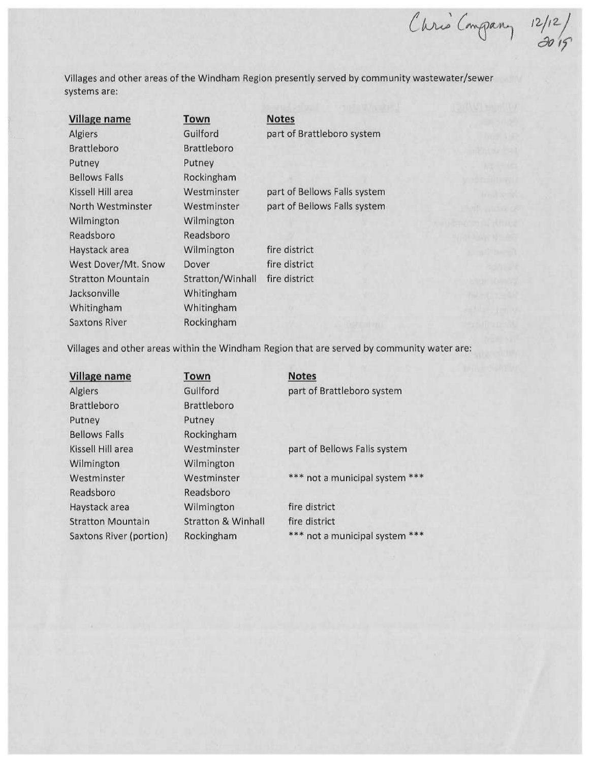$C_{mqpan}$ ,  $12/12$  $\frac{1}{20}$ 

Villages and other areas of the Windham Region presently served by community wastewater/sewer systems are:

| <b>Village name</b>      | Town               | <b>Notes</b>                 |  |
|--------------------------|--------------------|------------------------------|--|
| <b>Algiers</b>           | Guilford           | part of Brattleboro system   |  |
| <b>Brattleboro</b>       | <b>Brattleboro</b> |                              |  |
| Putney                   | Putney             |                              |  |
| <b>Bellows Falls</b>     | Rockingham         |                              |  |
| Kissell Hill area        | Westminster        | part of Bellows Falls system |  |
| North Westminster        | Westminster        | part of Bellows Falls system |  |
| Wilmington               | Wilmington         |                              |  |
| Readsboro                | Readsboro          |                              |  |
| Haystack area            | Wilmington         | fire district                |  |
| West Dover/Mt. Snow      | Dover              | fire district                |  |
| <b>Stratton Mountain</b> | Stratton/Winhall   | fire district                |  |
| Jacksonville             | Whitingham         |                              |  |
| Whitingham               | Whitingham         |                              |  |
| <b>Saxtons River</b>     | Rockingham         |                              |  |

Villages and other areas within the Windham Region that are served by community water are:

| <b>Village name</b>      | Town                          | <b>Notes</b>                   |
|--------------------------|-------------------------------|--------------------------------|
| Algiers                  | Guilford                      | part of Brattleboro system     |
| <b>Brattleboro</b>       | <b>Brattleboro</b>            |                                |
| Putney                   | Putney                        |                                |
| <b>Bellows Falls</b>     | Rockingham                    |                                |
| Kissell Hill area        | Westminster                   | part of Bellows Falls system   |
| Wilmington               | Wilmington                    |                                |
| Westminster              | Westminster                   | *** not a municipal system *** |
| Readsboro                | Readsboro                     |                                |
| Haystack area            | Wilmington                    | fire district                  |
| <b>Stratton Mountain</b> | <b>Stratton &amp; Winhall</b> | fire district                  |
| Saxtons River (portion)  | Rockingham                    | *** not a municipal system *** |